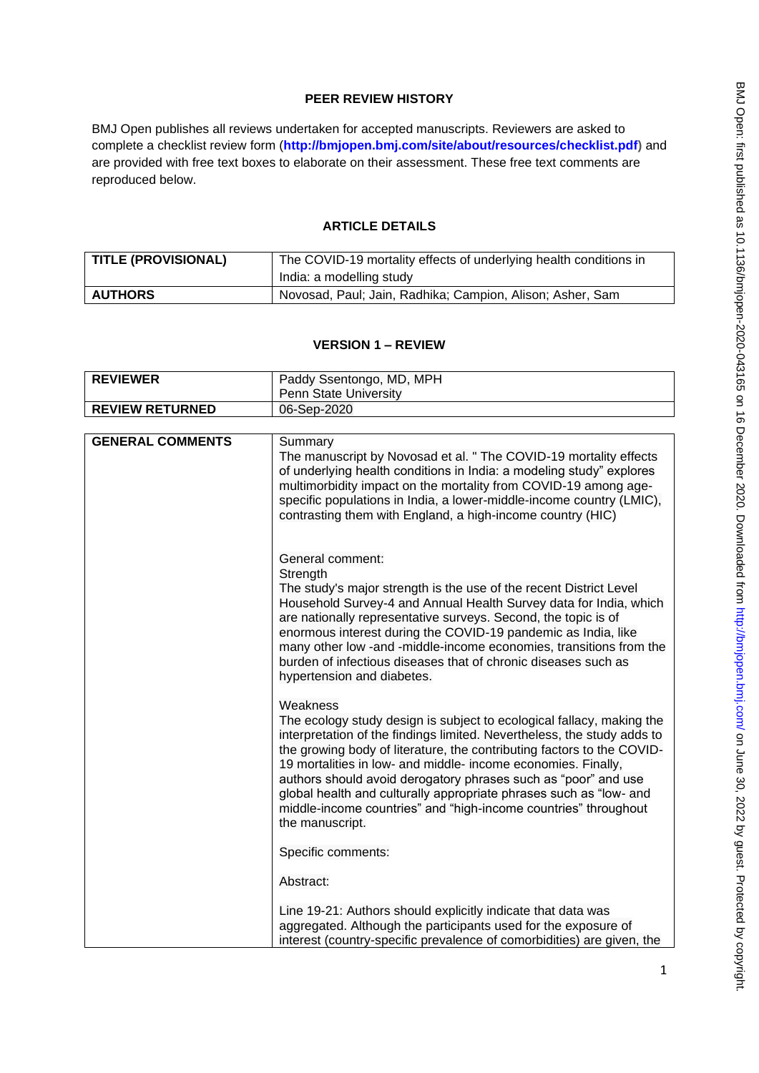# **PEER REVIEW HISTORY**

BMJ Open publishes all reviews undertaken for accepted manuscripts. Reviewers are asked to complete a checklist review form (**[http://bmjopen.bmj.com/site/about/resources/checklist.pdf\)](http://bmjopen.bmj.com/site/about/resources/checklist.pdf)** and are provided with free text boxes to elaborate on their assessment. These free text comments are reproduced below.

## **ARTICLE DETAILS**

| <b>TITLE (PROVISIONAL)</b> | The COVID-19 mortality effects of underlying health conditions in |
|----------------------------|-------------------------------------------------------------------|
|                            | India: a modelling study                                          |
| <b>AUTHORS</b>             | Novosad, Paul; Jain, Radhika; Campion, Alison; Asher, Sam         |

### **VERSION 1 – REVIEW**

| <b>REVIEWER</b>        | Paddy Ssentongo, MD, MPH<br><b>Penn State University</b> |
|------------------------|----------------------------------------------------------|
| <b>REVIEW RETURNED</b> | 06-Sep-2020                                              |

| <b>GENERAL COMMENTS</b> |                                                                                                                                                                                                                                                                                                                                                                                                                                                                                                                                       |
|-------------------------|---------------------------------------------------------------------------------------------------------------------------------------------------------------------------------------------------------------------------------------------------------------------------------------------------------------------------------------------------------------------------------------------------------------------------------------------------------------------------------------------------------------------------------------|
|                         | Summary<br>The manuscript by Novosad et al. " The COVID-19 mortality effects<br>of underlying health conditions in India: a modeling study" explores<br>multimorbidity impact on the mortality from COVID-19 among age-<br>specific populations in India, a lower-middle-income country (LMIC),<br>contrasting them with England, a high-income country (HIC)                                                                                                                                                                         |
|                         | General comment:<br>Strength<br>The study's major strength is the use of the recent District Level<br>Household Survey-4 and Annual Health Survey data for India, which<br>are nationally representative surveys. Second, the topic is of<br>enormous interest during the COVID-19 pandemic as India, like<br>many other low -and -middle-income economies, transitions from the<br>burden of infectious diseases that of chronic diseases such as<br>hypertension and diabetes.                                                      |
|                         | Weakness<br>The ecology study design is subject to ecological fallacy, making the<br>interpretation of the findings limited. Nevertheless, the study adds to<br>the growing body of literature, the contributing factors to the COVID-<br>19 mortalities in low- and middle- income economies. Finally,<br>authors should avoid derogatory phrases such as "poor" and use<br>global health and culturally appropriate phrases such as "low- and<br>middle-income countries" and "high-income countries" throughout<br>the manuscript. |
|                         | Specific comments:                                                                                                                                                                                                                                                                                                                                                                                                                                                                                                                    |
|                         | Abstract:                                                                                                                                                                                                                                                                                                                                                                                                                                                                                                                             |
|                         | Line 19-21: Authors should explicitly indicate that data was<br>aggregated. Although the participants used for the exposure of<br>interest (country-specific prevalence of comorbidities) are given, the                                                                                                                                                                                                                                                                                                                              |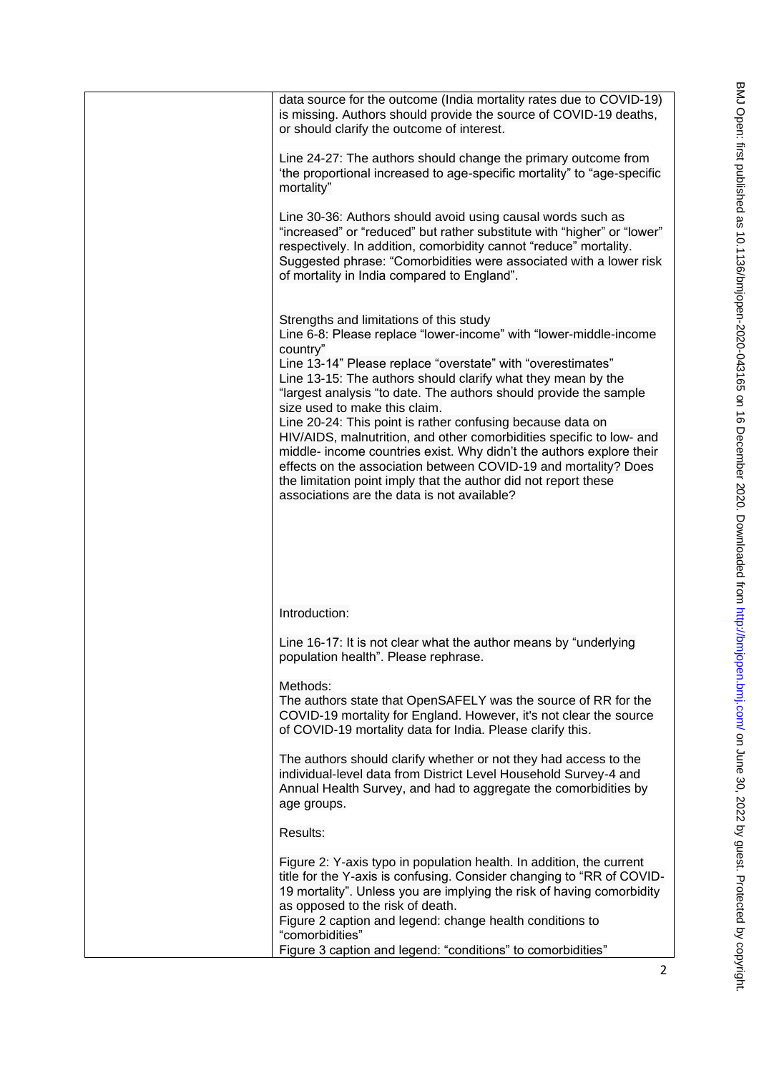| data source for the outcome (India mortality rates due to COVID-19)<br>is missing. Authors should provide the source of COVID-19 deaths,<br>or should clarify the outcome of interest.                                                                                                                                                                                                                                      |
|-----------------------------------------------------------------------------------------------------------------------------------------------------------------------------------------------------------------------------------------------------------------------------------------------------------------------------------------------------------------------------------------------------------------------------|
| Line 24-27: The authors should change the primary outcome from<br>'the proportional increased to age-specific mortality" to "age-specific<br>mortality"                                                                                                                                                                                                                                                                     |
| Line 30-36: Authors should avoid using causal words such as<br>"increased" or "reduced" but rather substitute with "higher" or "lower"<br>respectively. In addition, comorbidity cannot "reduce" mortality.<br>Suggested phrase: "Comorbidities were associated with a lower risk<br>of mortality in India compared to England".                                                                                            |
| Strengths and limitations of this study<br>Line 6-8: Please replace "lower-income" with "lower-middle-income<br>country"<br>Line 13-14" Please replace "overstate" with "overestimates"<br>Line 13-15: The authors should clarify what they mean by the<br>"largest analysis "to date. The authors should provide the sample<br>size used to make this claim.<br>Line 20-24: This point is rather confusing because data on |
| HIV/AIDS, malnutrition, and other comorbidities specific to low- and<br>middle- income countries exist. Why didn't the authors explore their<br>effects on the association between COVID-19 and mortality? Does<br>the limitation point imply that the author did not report these<br>associations are the data is not available?                                                                                           |
| Introduction:                                                                                                                                                                                                                                                                                                                                                                                                               |
| Line 16-17: It is not clear what the author means by "underlying<br>population health". Please rephrase.                                                                                                                                                                                                                                                                                                                    |
| Methods:<br>The authors state that OpenSAFELY was the source of RR for the<br>COVID-19 mortality for England. However, it's not clear the source<br>of COVID-19 mortality data for India. Please clarify this.                                                                                                                                                                                                              |
| The authors should clarify whether or not they had access to the<br>individual-level data from District Level Household Survey-4 and<br>Annual Health Survey, and had to aggregate the comorbidities by<br>age groups.                                                                                                                                                                                                      |
| Results:                                                                                                                                                                                                                                                                                                                                                                                                                    |
| Figure 2: Y-axis typo in population health. In addition, the current<br>title for the Y-axis is confusing. Consider changing to "RR of COVID-<br>19 mortality". Unless you are implying the risk of having comorbidity<br>as opposed to the risk of death.                                                                                                                                                                  |
| Figure 2 caption and legend: change health conditions to<br>"comorbidities"<br>Figure 3 caption and legend: "conditions" to comorbidities"                                                                                                                                                                                                                                                                                  |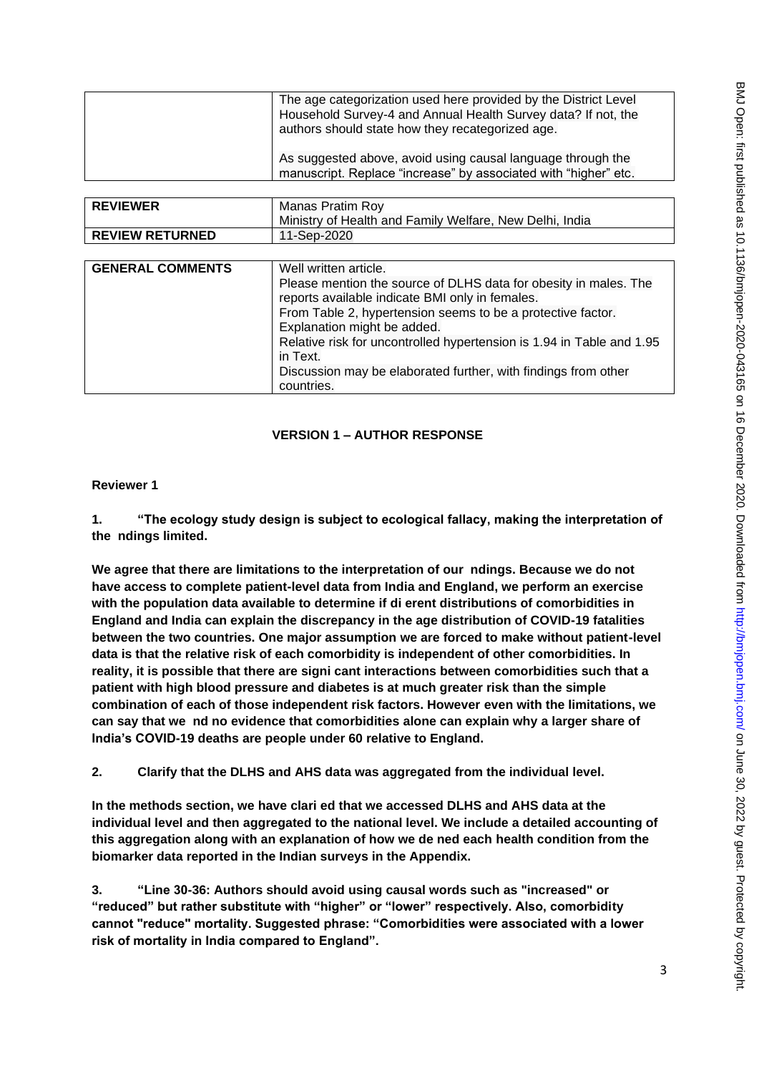| The age categorization used here provided by the District Level<br>Household Survey-4 and Annual Health Survey data? If not, the |
|----------------------------------------------------------------------------------------------------------------------------------|
| authors should state how they recategorized age.                                                                                 |
| As suggested above, avoid using causal language through the<br>manuscript. Replace "increase" by associated with "higher" etc.   |
|                                                                                                                                  |
| Manas Pratim Roy                                                                                                                 |
| Ministry of Health and Family Welfare, New Delhi, India                                                                          |
| 11-Sep-2020                                                                                                                      |
|                                                                                                                                  |
| Well written article.                                                                                                            |
| Please mention the source of DLHS data for obesity in males. The                                                                 |
| reports available indicate BMI only in females.                                                                                  |
| From Table 2, hypertension seems to be a protective factor.                                                                      |
| Explanation might be added.                                                                                                      |
| Relative risk for uncontrolled hypertension is 1.94 in Table and 1.95<br>in Text                                                 |
| Discussion may be elaborated further, with findings from other                                                                   |
| countries.                                                                                                                       |
|                                                                                                                                  |

# **Reviewer 1**

**REVIEWER** Manas Pratim Roy

**GENERAL COMMENTS** Well written article.

**REVIEW RETURNED** 11-Sep-2020

**1. "The ecology study design is subject to ecological fallacy, making the interpretation of the ndings limited.**

**We agree that there are limitations to the interpretation of our ndings. Because we do not have access to complete patient-level data from India and England, we perform an exercise with the population data available to determine if di erent distributions of comorbidities in England and India can explain the discrepancy in the age distribution of COVID-19 fatalities between the two countries. One major assumption we are forced to make without patient-level data is that the relative risk of each comorbidity is independent of other comorbidities. In reality, it is possible that there are signi cant interactions between comorbidities such that a patient with high blood pressure and diabetes is at much greater risk than the simple combination of each of those independent risk factors. However even with the limitations, we can say that we nd no evidence that comorbidities alone can explain why a larger share of India's COVID-19 deaths are people under 60 relative to England.**

**2. Clarify that the DLHS and AHS data was aggregated from the individual level.**

**In the methods section, we have clari ed that we accessed DLHS and AHS data at the individual level and then aggregated to the national level. We include a detailed accounting of this aggregation along with an explanation of how we de ned each health condition from the biomarker data reported in the Indian surveys in the Appendix.**

**3. "Line 30-36: Authors should avoid using causal words such as "increased" or "reduced" but rather substitute with "higher" or "lower" respectively. Also, comorbidity cannot "reduce" mortality. Suggested phrase: "Comorbidities were associated with a lower risk of mortality in India compared to England".**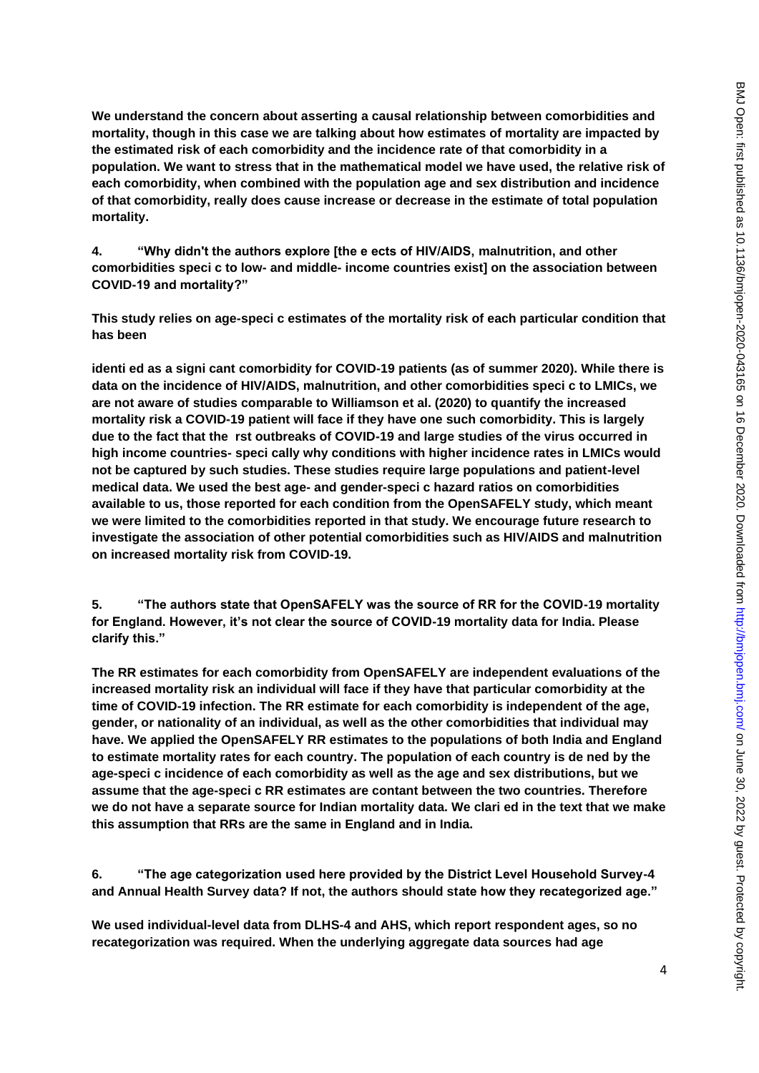**We understand the concern about asserting a causal relationship between comorbidities and mortality, though in this case we are talking about how estimates of mortality are impacted by the estimated risk of each comorbidity and the incidence rate of that comorbidity in a population. We want to stress that in the mathematical model we have used, the relative risk of each comorbidity, when combined with the population age and sex distribution and incidence of that comorbidity, really does cause increase or decrease in the estimate of total population mortality.**

**4. "Why didn't the authors explore [the e ects of HIV/AIDS, malnutrition, and other comorbidities speci c to low- and middle- income countries exist] on the association between COVID-19 and mortality?"**

**This study relies on age-speci c estimates of the mortality risk of each particular condition that has been**

**identi ed as a signi cant comorbidity for COVID-19 patients (as of summer 2020). While there is data on the incidence of HIV/AIDS, malnutrition, and other comorbidities speci c to LMICs, we are not aware of studies comparable to Williamson et al. (2020) to quantify the increased mortality risk a COVID-19 patient will face if they have one such comorbidity. This is largely due to the fact that the rst outbreaks of COVID-19 and large studies of the virus occurred in high income countries- speci cally why conditions with higher incidence rates in LMICs would not be captured by such studies. These studies require large populations and patient-level medical data. We used the best age- and gender-speci c hazard ratios on comorbidities available to us, those reported for each condition from the OpenSAFELY study, which meant we were limited to the comorbidities reported in that study. We encourage future research to investigate the association of other potential comorbidities such as HIV/AIDS and malnutrition on increased mortality risk from COVID-19.**

**5. "The authors state that OpenSAFELY was the source of RR for the COVID-19 mortality for England. However, it's not clear the source of COVID-19 mortality data for India. Please clarify this."**

**The RR estimates for each comorbidity from OpenSAFELY are independent evaluations of the increased mortality risk an individual will face if they have that particular comorbidity at the time of COVID-19 infection. The RR estimate for each comorbidity is independent of the age, gender, or nationality of an individual, as well as the other comorbidities that individual may have. We applied the OpenSAFELY RR estimates to the populations of both India and England to estimate mortality rates for each country. The population of each country is de ned by the age-speci c incidence of each comorbidity as well as the age and sex distributions, but we assume that the age-speci c RR estimates are contant between the two countries. Therefore we do not have a separate source for Indian mortality data. We clari ed in the text that we make this assumption that RRs are the same in England and in India.**

**6. "The age categorization used here provided by the District Level Household Survey-4 and Annual Health Survey data? If not, the authors should state how they recategorized age."**

**We used individual-level data from DLHS-4 and AHS, which report respondent ages, so no recategorization was required. When the underlying aggregate data sources had age**